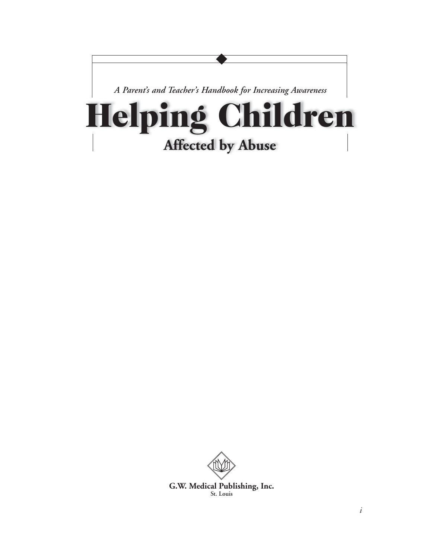

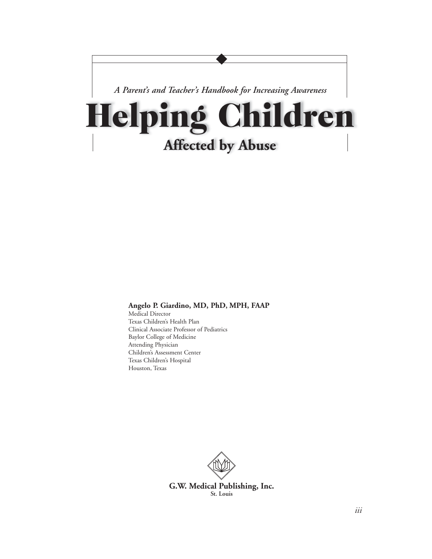

#### **Angelo P. Giardino, MD, PhD, MPH, FAAP**

Medical Director Texas Children's Health Plan Clinical Associate Professor of Pediatrics Baylor College of Medicine Attending Physician Children's Assessment Center Texas Children's Hospital Houston, Texas

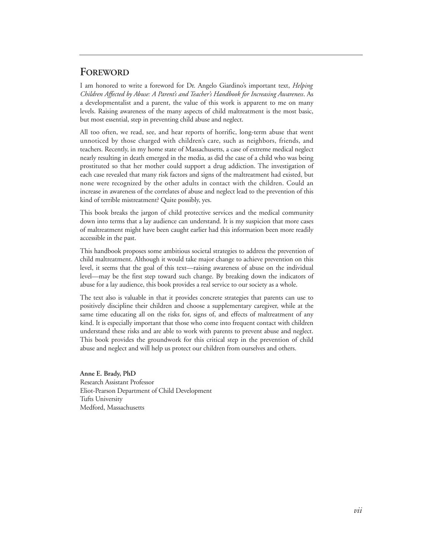#### **FOREWORD**

I am honored to write a foreword for Dr. Angelo Giardino's important text, *Helping Children Affected by Abuse: A Parent's and Teacher's Handbook for Increasing Awareness*. As a developmentalist and a parent, the value of this work is apparent to me on many levels. Raising awareness of the many aspects of child maltreatment is the most basic, but most essential, step in preventing child abuse and neglect.

All too often, we read, see, and hear reports of horrific, long-term abuse that went unnoticed by those charged with children's care, such as neighbors, friends, and teachers. Recently, in my home state of Massachusetts, a case of extreme medical neglect nearly resulting in death emerged in the media, as did the case of a child who was being prostituted so that her mother could support a drug addiction. The investigation of each case revealed that many risk factors and signs of the maltreatment had existed, but none were recognized by the other adults in contact with the children. Could an increase in awareness of the correlates of abuse and neglect lead to the prevention of this kind of terrible mistreatment? Quite possibly, yes.

This book breaks the jargon of child protective services and the medical community down into terms that a lay audience can understand. It is my suspicion that more cases of maltreatment might have been caught earlier had this information been more readily accessible in the past.

This handbook proposes some ambitious societal strategies to address the prevention of child maltreatment. Although it would take major change to achieve prevention on this level, it seems that the goal of this text—raising awareness of abuse on the individual level—may be the first step toward such change. By breaking down the indicators of abuse for a lay audience, this book provides a real service to our society as a whole.

The text also is valuable in that it provides concrete strategies that parents can use to positively discipline their children and choose a supplementary caregiver, while at the same time educating all on the risks for, signs of, and effects of maltreatment of any kind. It is especially important that those who come into frequent contact with children understand these risks and are able to work with parents to prevent abuse and neglect. This book provides the groundwork for this critical step in the prevention of child abuse and neglect and will help us protect our children from ourselves and others.

**Anne E. Brady, PhD** Research Assistant Professor Eliot-Pearson Department of Child Development Tufts University Medford, Massachusetts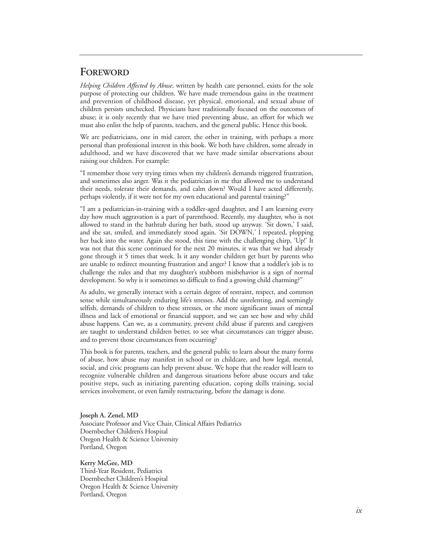#### **FOREWORD**

*Helping Children Affected by Abuse*, written by health care personnel, exists for the sole purpose of protecting our children. We have made tremendous gains in the treatment and prevention of childhood disease, yet physical, emotional, and sexual abuse of children persists unchecked. Physicians have traditionally focused on the outcomes of abuse; it is only recently that we have tried preventing abuse, an effort for which we must also enlist the help of parents, teachers, and the general public. Hence this book.

We are pediatricians, one in mid career, the other in training, with perhaps a more personal than professional interest in this book. We both have children, some already in adulthood, and we have discovered that we have made similar observations about raising our children. For example:

"I remember those very trying times when my children's demands triggered frustration, and sometimes also anger. Was it the pediatrician in me that allowed me to understand their needs, tolerate their demands, and calm down? Would I have acted differently, perhaps violently, if it were not for my own educational and parental training?"

"I am a pediatrician-in-training with a toddler-aged daughter, and I am learning every day how much aggravation is a part of parenthood. Recently, my daughter, who is not allowed to stand in the bathtub during her bath, stood up anyway. 'Sit down,' I said, and she sat, smiled, and immediately stood again. 'Sit DOWN,' I repeated, plopping her back into the water. Again she stood, this time with the challenging chirp, 'Up!' It was not that this scene continued for the next 20 minutes, it was that we had already gone through it 5 times that week. Is it any wonder children get hurt by parents who are unable to redirect mounting frustration and anger? I know that a toddler's job is to challenge the rules and that my daughter's stubborn misbehavior is a sign of normal development. So why is it sometimes so difficult to find a growing child charming?"

As adults, we generally interact with a certain degree of restraint, respect, and common sense while simultaneously enduring life's stresses. Add the unrelenting, and seemingly selfish, demands of children to these stresses, or the more significant issues of mental illness and lack of emotional or financial support, and we can see how and why child abuse happens. Can we, as a community, prevent child abuse if parents and caregivers are taught to understand children better, to see what circumstances can trigger abuse, and to prevent those circumstances from occurring?

This book is for parents, teachers, and the general public to learn about the many forms of abuse, how abuse may manifest in school or in childcare, and how legal, mental, social, and civic programs can help prevent abuse. We hope that the reader will learn to recognize vulnerable children and dangerous situations before abuse occurs and take positive steps, such as initiating parenting education, coping skills training, social services involvement, or even family restructuring, before the damage is done.

**Joseph A. Zenel, MD** Associate Professor and Vice Chair, Clinical Affairs Pediatrics Doernbecher Children's Hospital Oregon Health & Science University Portland, Oregon

**Kerry McGee, MD**

Third-Year Resident, Pediatrics Doernbecher Children's Hospital Oregon Health & Science University Portland, Oregon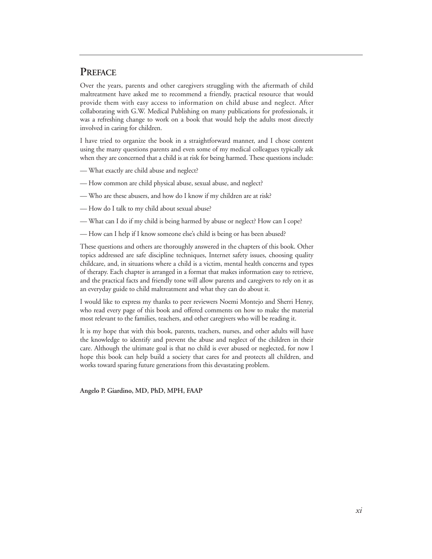#### **PREFACE**

Over the years, parents and other caregivers struggling with the aftermath of child maltreatment have asked me to recommend a friendly, practical resource that would provide them with easy access to information on child abuse and neglect. After collaborating with G.W. Medical Publishing on many publications for professionals, it was a refreshing change to work on a book that would help the adults most directly involved in caring for children.

I have tried to organize the book in a straightforward manner, and I chose content using the many questions parents and even some of my medical colleagues typically ask when they are concerned that a child is at risk for being harmed. These questions include:

- What exactly are child abuse and neglect?
- How common are child physical abuse, sexual abuse, and neglect?
- Who are these abusers, and how do I know if my children are at risk?
- How do I talk to my child about sexual abuse?
- What can I do if my child is being harmed by abuse or neglect? How can I cope?
- How can I help if I know someone else's child is being or has been abused?

These questions and others are thoroughly answered in the chapters of this book. Other topics addressed are safe discipline techniques, Internet safety issues, choosing quality childcare, and, in situations where a child is a victim, mental health concerns and types of therapy. Each chapter is arranged in a format that makes information easy to retrieve, and the practical facts and friendly tone will allow parents and caregivers to rely on it as an everyday guide to child maltreatment and what they can do about it.

I would like to express my thanks to peer reviewers Noemi Montejo and Sherri Henry, who read every page of this book and offered comments on how to make the material most relevant to the families, teachers, and other caregivers who will be reading it.

It is my hope that with this book, parents, teachers, nurses, and other adults will have the knowledge to identify and prevent the abuse and neglect of the children in their care. Although the ultimate goal is that no child is ever abused or neglected, for now I hope this book can help build a society that cares for and protects all children, and works toward sparing future generations from this devastating problem.

**Angelo P. Giardino, MD, PhD, MPH, FAAP**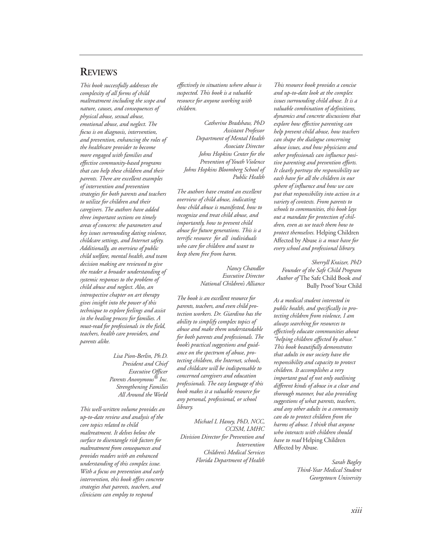#### **REVIEWS**

*This book successfully addresses the complexity of all forms of child maltreatment including the scope and nature, causes, and consequences of physical abuse, sexual abuse, emotional abuse, and neglect. The focus is on diagnosis, intervention, and prevention, enhancing the roles of the healthcare provider to become more engaged with families and effective community-based programs that can help these children and their parents. There are excellent examples of intervention and prevention strategies for both parents and teachers to utilize for children and their caregivers. The authors have added three important sections on timely areas of concern: the parameters and key issues surrounding dating violence, childcare settings, and Internet safety. Additionally, an overview of public child welfare, mental health, and team decision making are reviewed to give the reader a broader understanding of systemic responses to the problem of child abuse and neglect. Also, an introspective chapter on art therapy gives insight into the power of this technique to explore feelings and assist in the healing process for families. A must-read for professionals in the field, teachers, health care providers, and parents alike.* 

> *Lisa Pion-Berlin, Ph.D. President and Chief Executive Officer Parents Anonymous® Inc. Strengthening Families All Around the World*

*This well-written volume provides an up-to-date review and analysis of the core topics related to child maltreatment. It delves below the surface to disentangle risk factors for maltreatment from consequences and provides readers with an enhanced understanding of this complex issue. With a focus on prevention and early intervention, this book offers concrete strategies that parents, teachers, and clinicians can employ to respond*

*effectively in situations where abuse is suspected. This book is a valuable resource for anyone working with children.*

*Catherine Bradshaw, PhD Assistant Professor Department of Mental Health Associate Director Johns Hopkins Center for the Prevention of Youth Violence Johns Hopkins Bloomberg School of Public Health*

*The authors have created an excellent overview of child abuse, indicating how child abuse is manifested, how to recognize and treat child abuse, and importantly, how to prevent child abuse for future generations. This is a terrific resource for all individuals who care for children and want to keep them free from harm.*

> *Nancy Chandler Executive Director National Children's Alliance*

*The book is an excellent resource for parents, teachers, and even child protection workers. Dr. Giardino has the ability to simplify complex topics of abuse and make them understandable for both parents and professionals. The book's practical suggestions and guidance on the spectrum of abuse, protecting children, the Internet, schools, and childcare will be indispensable to concerned caregivers and education professionals. The easy language of this book makes it a valuable resource for any personal, professional, or school library.*

*Michael L Haney, PhD, NCC, CCISM, LMHC Division Director for Prevention and Intervention Children's Medical Services Florida Department of Health*

*This resource book provides a concise and up-to-date look at the complex issues surrounding child abuse. It is a valuable combination of definitions, dynamics and concrete discussions that explore how effective parenting can help prevent child abuse, how teachers can shape the dialogue concerning abuse issues, and how physicians and other professionals can influence positive parenting and prevention efforts. It clearly portrays the responsibility we each have for all the children in our sphere of influence and how we can put that responsibility into action in a variety of contexts. From parents to schools to communities, this book lays out a mandate for protection of children, even as we teach them how to protect themselves.* Helping Children Affected by Abuse *is a must have for every school and professional library.*

*Sherryll Kraizer, PhD Founder of the Safe Child Program Author of* The Safe Child Book *and* Bully Proof Your Child

*As a medical student interested in public health, and specifically in protecting children from violence, I am always searching for resources to effectively educate communities about "helping children affected by abuse." This book beautifully demonstrates that adults in our society have the responsibility and capacity to protect children. It accomplishes a very important goal of not only outlining different kinds of abuse in a clear and thorough manner, but also providing suggestions of what parents, teachers, and any other adults in a community can do to protect children from the harms of abuse. I think that anyone who interacts with children should have to read* Helping Children Affected by Abuse*.*

> *Sarah Bagley Third-Year Medical Student Georgetown University*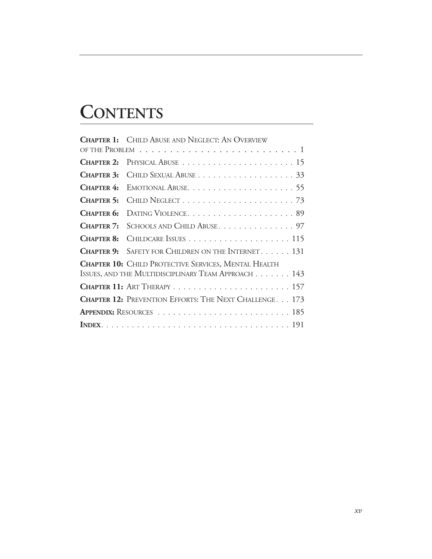# **CONTENTS**

|                   | <b>CHAPTER 1: CHILD ABUSE AND NEGLECT: AN OVERVIEW</b>        |  |
|-------------------|---------------------------------------------------------------|--|
|                   |                                                               |  |
|                   |                                                               |  |
| <b>CHAPTER 3:</b> |                                                               |  |
| CHAPTER 4:        |                                                               |  |
| <b>CHAPTER 5:</b> |                                                               |  |
| CHAPTER 6:        | DATING VIOLENCE89                                             |  |
| CHAPTER 7:        | SCHOOLS AND CHILD ABUSE. 97                                   |  |
| <b>CHAPTER 8:</b> |                                                               |  |
|                   | <b>CHAPTER 9:</b> SAFETY FOR CHILDREN ON THE INTERNET. 131    |  |
|                   | <b>CHAPTER 10:</b> CHILD PROTECTIVE SERVICES, MENTAL HEALTH   |  |
|                   | ISSUES, AND THE MULTIDISCIPLINARY TEAM APPROACH 143           |  |
|                   |                                                               |  |
|                   | <b>CHAPTER 12: PREVENTION EFFORTS: THE NEXT CHALLENGE 173</b> |  |
|                   |                                                               |  |
|                   |                                                               |  |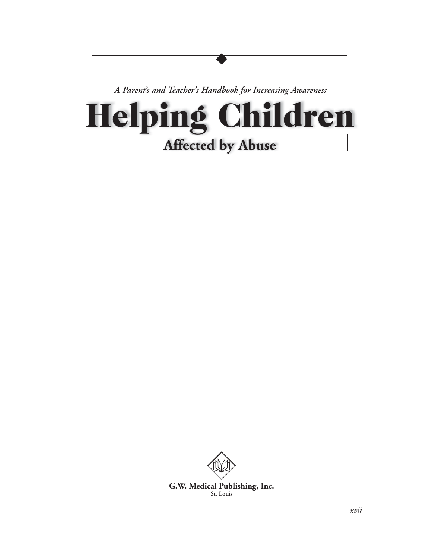

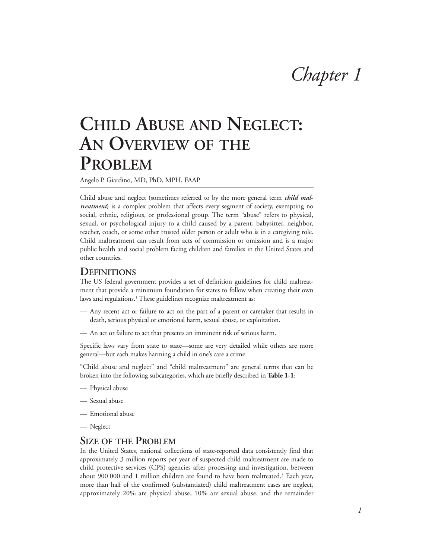# *Chapter 1*

# **CHILD ABUSE AND NEGLECT: AN OVERVIEW OF THE PROBLEM**

Angelo P. Giardino, MD, PhD, MPH, FAAP

Child abuse and neglect (sometimes referred to by the more general term *child maltreatment*) is a complex problem that affects every segment of society, exempting no social, ethnic, religious, or professional group. The term "abuse" refers to physical, sexual, or psychological injury to a child caused by a parent, babysitter, neighbor, teacher, coach, or some other trusted older person or adult who is in a caregiving role. Child maltreatment can result from acts of commission or omission and is a major public health and social problem facing children and families in the United States and other countries.

#### **DEFINITIONS**

The US federal government provides a set of definition guidelines for child maltreatment that provide a minimum foundation for states to follow when creating their own laws and regulations.<sup>1</sup> These guidelines recognize maltreatment as:

- Any recent act or failure to act on the part of a parent or caretaker that results in death, serious physical or emotional harm, sexual abuse, or exploitation.
- An act or failure to act that presents an imminent risk of serious harm.

Specific laws vary from state to state—some are very detailed while others are more general—but each makes harming a child in one's care a crime.

"Child abuse and neglect" and "child maltreatment" are general terms that can be broken into the following subcategories, which are briefly described in **Table 1-1**:

- Physical abuse
- Sexual abuse
- Emotional abuse
- Neglect

#### **SIZE OF THE PROBLEM**

In the United States, national collections of state-reported data consistently find that approximately 3 million reports per year of suspected child maltreatment are made to child protective services (CPS) agencies after processing and investigation, between about 900 000 and 1 million children are found to have been maltreated.3 Each year, more than half of the confirmed (substantiated) child maltreatment cases are neglect, approximately 20% are physical abuse, 10% are sexual abuse, and the remainder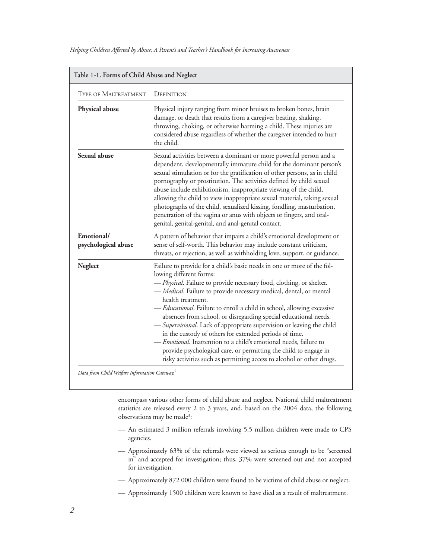|                                   | Table 1-1. Forms of Child Abuse and Neglect                                                                                                                                                                                                                                                                                                                                                                                                                                                                                                                                                                                                                                                                                                                                    |  |  |
|-----------------------------------|--------------------------------------------------------------------------------------------------------------------------------------------------------------------------------------------------------------------------------------------------------------------------------------------------------------------------------------------------------------------------------------------------------------------------------------------------------------------------------------------------------------------------------------------------------------------------------------------------------------------------------------------------------------------------------------------------------------------------------------------------------------------------------|--|--|
| <b>TYPE OF MALTREATMENT</b>       | DEFINITION                                                                                                                                                                                                                                                                                                                                                                                                                                                                                                                                                                                                                                                                                                                                                                     |  |  |
| Physical abuse                    | Physical injury ranging from minor bruises to broken bones, brain<br>damage, or death that results from a caregiver beating, shaking,<br>throwing, choking, or otherwise harming a child. These injuries are<br>considered abuse regardless of whether the caregiver intended to hurt<br>the child.                                                                                                                                                                                                                                                                                                                                                                                                                                                                            |  |  |
| Sexual abuse                      | Sexual activities between a dominant or more powerful person and a<br>dependent, developmentally immature child for the dominant person's<br>sexual stimulation or for the gratification of other persons, as in child<br>pornography or prostitution. The activities defined by child sexual<br>abuse include exhibitionism, inappropriate viewing of the child,<br>allowing the child to view inappropriate sexual material, taking sexual<br>photographs of the child, sexualized kissing, fondling, masturbation,<br>penetration of the vagina or anus with objects or fingers, and oral-<br>genital, genital-genital, and anal-genital contact.                                                                                                                           |  |  |
| Emotional/<br>psychological abuse | A pattern of behavior that impairs a child's emotional development or<br>sense of self-worth. This behavior may include constant criticism,<br>threats, or rejection, as well as withholding love, support, or guidance.                                                                                                                                                                                                                                                                                                                                                                                                                                                                                                                                                       |  |  |
| Neglect                           | Failure to provide for a child's basic needs in one or more of the fol-<br>lowing different forms:<br>- Physical. Failure to provide necessary food, clothing, or shelter.<br>- Medical. Failure to provide necessary medical, dental, or mental<br>health treatment.<br>- Educational. Failure to enroll a child in school, allowing excessive<br>absences from school, or disregarding special educational needs.<br>- Supervisional. Lack of appropriate supervision or leaving the child<br>in the custody of others for extended periods of time.<br><i>Emotional</i> . Inattention to a child's emotional needs, failure to<br>provide psychological care, or permitting the child to engage in<br>risky activities such as permitting access to alcohol or other drugs. |  |  |

*Data from Child Welfare Information Gateway.*<sup>2</sup>

encompass various other forms of child abuse and neglect. National child maltreatment statistics are released every 2 to 3 years, and, based on the 2004 data, the following observations may be made3:

- An estimated 3 million referrals involving 5.5 million children were made to CPS agencies.
- Approximately 63% of the referrals were viewed as serious enough to be "screened in" and accepted for investigation; thus, 37% were screened out and not accepted for investigation.
- Approximately 872 000 children were found to be victims of child abuse or neglect.
- Approximately 1500 children were known to have died as a result of maltreatment.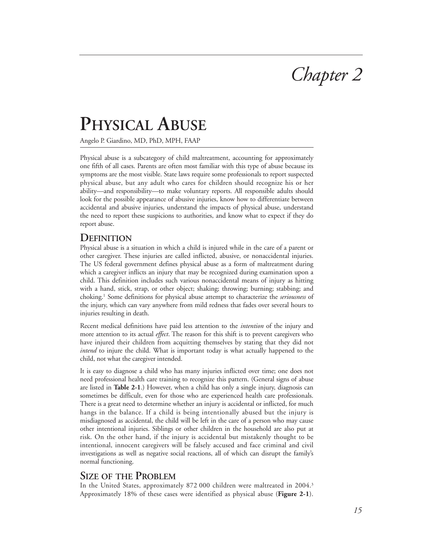# *Chapter 2*

# **PHYSICAL ABUSE**

Angelo P. Giardino, MD, PhD, MPH, FAAP

Physical abuse is a subcategory of child maltreatment, accounting for approximately one fifth of all cases. Parents are often most familiar with this type of abuse because its symptoms are the most visible. State laws require some professionals to report suspected physical abuse, but any adult who cares for children should recognize his or her ability—and responsibility—to make voluntary reports. All responsible adults should look for the possible appearance of abusive injuries, know how to differentiate between accidental and abusive injuries, understand the impacts of physical abuse, understand the need to report these suspicions to authorities, and know what to expect if they do report abuse.

#### **DEFINITION**

Physical abuse is a situation in which a child is injured while in the care of a parent or other caregiver. These injuries are called inflicted, abusive, or nonaccidental injuries. The US federal government defines physical abuse as a form of maltreatment during which a caregiver inflicts an injury that may be recognized during examination upon a child. This definition includes such various nonaccidental means of injury as hitting with a hand, stick, strap, or other object; shaking; throwing; burning; stabbing; and choking.1 Some definitions for physical abuse attempt to characterize the *seriousness* of the injury, which can vary anywhere from mild redness that fades over several hours to injuries resulting in death.

Recent medical definitions have paid less attention to the *intention* of the injury and more attention to its actual *effect*. The reason for this shift is to prevent caregivers who have injured their children from acquitting themselves by stating that they did not *intend* to injure the child. What is important today is what actually happened to the child, not what the caregiver intended.

It is easy to diagnose a child who has many injuries inflicted over time; one does not need professional health care training to recognize this pattern. (General signs of abuse are listed in **Table 2-1**.) However, when a child has only a single injury, diagnosis can sometimes be difficult, even for those who are experienced health care professionals. There is a great need to determine whether an injury is accidental or inflicted, for much hangs in the balance. If a child is being intentionally abused but the injury is misdiagnosed as accidental, the child will be left in the care of a person who may cause other intentional injuries. Siblings or other children in the household are also put at risk. On the other hand, if the injury is accidental but mistakenly thought to be intentional, innocent caregivers will be falsely accused and face criminal and civil investigations as well as negative social reactions, all of which can disrupt the family's normal functioning.

#### **SIZE OF THE PROBLEM**

In the United States, approximately 872 000 children were maltreated in 2004.<sup>3</sup> Approximately 18% of these cases were identified as physical abuse (**Figure 2-1**).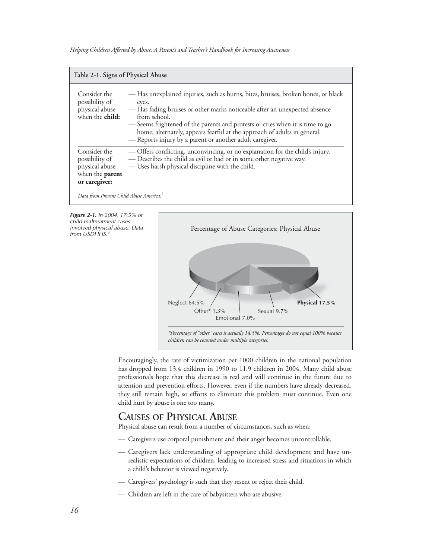| Table 2-1. Signs of Physical Abuse                                                          |                                                                                                                                                                                                                                                                                                                                                                                                                 |  |
|---------------------------------------------------------------------------------------------|-----------------------------------------------------------------------------------------------------------------------------------------------------------------------------------------------------------------------------------------------------------------------------------------------------------------------------------------------------------------------------------------------------------------|--|
| Consider the<br>possibility of<br>physical abuse<br>when the <b>child:</b>                  | -Has unexplained injuries, such as burns, bites, bruises, broken bones, or black<br>eyes.<br>— Has fading bruises or other marks noticeable after an unexpected absence<br>from school.<br>-Seems frightened of the parents and protests or cries when it is time to go<br>home; alternately, appears fearful at the approach of adults in general.<br>- Reports injury by a parent or another adult caregiver. |  |
| Consider the<br>possibility of<br>physical abuse<br>when the <b>parent</b><br>or caregiver: | - Offers conflicting, unconvincing, or no explanation for the child's injury.<br>- Describes the child as evil or bad or in some other negative way.<br>- Uses harsh physical discipline with the child.                                                                                                                                                                                                        |  |

**Figure 2-1.** In 2004, 17.5% of child maltreatment cases involved physical abuse. Data from USDHHS.<sup>3</sup>



Encouragingly, the rate of victimization per 1000 children in the national population has dropped from 13.4 children in 1990 to 11.9 children in 2004. Many child abuse professionals hope that this decrease is real and will continue in the future due to attention and prevention efforts. However, even if the numbers have already decreased, they still remain high, so efforts to eliminate this problem must continue. Even one child hurt by abuse is one too many.

#### **CAUSES OF PHYSICAL ABUSE**

Physical abuse can result from a number of circumstances, such as when:

- Caregivers use corporal punishment and their anger becomes uncontrollable.
- Caregivers lack understanding of appropriate child development and have unrealistic expectations of children, leading to increased stress and situations in which a child's behavior is viewed negatively.
- Caregivers' psychology is such that they resent or reject their child.
- Children are left in the care of babysitters who are abusive.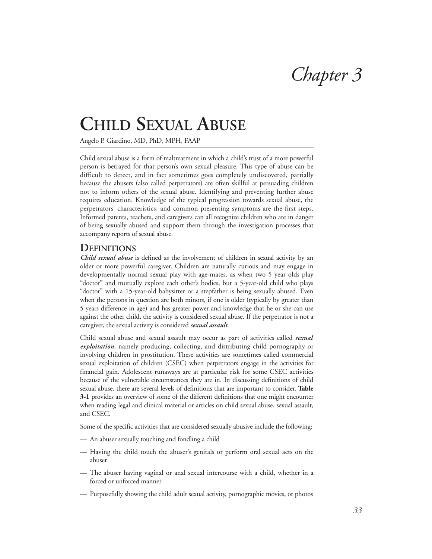

# **CHILD SEXUAL ABUSE**

Angelo P. Giardino, MD, PhD, MPH, FAAP

Child sexual abuse is a form of maltreatment in which a child's trust of a more powerful person is betrayed for that person's own sexual pleasure. This type of abuse can be difficult to detect, and in fact sometimes goes completely undiscovered, partially because the abusers (also called perpetrators) are often skillful at persuading children not to inform others of the sexual abuse. Identifying and preventing further abuse requires education. Knowledge of the typical progression towards sexual abuse, the perpetrators' characteristics, and common presenting symptoms are the first steps. Informed parents, teachers, and caregivers can all recognize children who are in danger of being sexually abused and support them through the investigation processes that accompany reports of sexual abuse.

#### **DEFINITIONS**

*Child sexual abuse* is defined as the involvement of children in sexual activity by an older or more powerful caregiver. Children are naturally curious and may engage in developmentally normal sexual play with age-mates, as when two 5 year olds play "doctor" and mutually explore each other's bodies, but a 5-year-old child who plays "doctor" with a 15-year-old babysitter or a stepfather is being sexually abused. Even when the persons in question are both minors, if one is older (typically by greater than 5 years difference in age) and has greater power and knowledge that he or she can use against the other child, the activity is considered sexual abuse. If the perpetrator is not a caregiver, the sexual activity is considered *sexual assault*.

Child sexual abuse and sexual assault may occur as part of activities called *sexual exploitation*, namely producing, collecting, and distributing child pornography or involving children in prostitution. These activities are sometimes called commercial sexual exploitation of children (CSEC) when perpetrators engage in the activities for financial gain. Adolescent runaways are at particular risk for some CSEC activities because of the vulnerable circumstances they are in. In discussing definitions of child sexual abuse, there are several levels of definitions that are important to consider. **Table 3-1** provides an overview of some of the different definitions that one might encounter when reading legal and clinical material or articles on child sexual abuse, sexual assault, and CSEC.

Some of the specific activities that are considered sexually abusive include the following:

- An abuser sexually touching and fondling a child
- Having the child touch the abuser's genitals or perform oral sexual acts on the abuser
- The abuser having vaginal or anal sexual intercourse with a child, whether in a forced or unforced manner
- Purposefully showing the child adult sexual activity, pornographic movies, or photos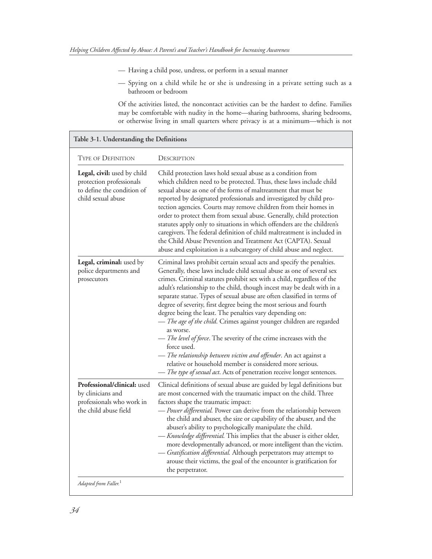- Having a child pose, undress, or perform in a sexual manner
- Spying on a child while he or she is undressing in a private setting such as a bathroom or bedroom

Of the activities listed, the noncontact activities can be the hardest to define. Families may be comfortable with nudity in the home––sharing bathrooms, sharing bedrooms, or otherwise living in small quarters where privacy is at a minimum—which is not

| <b>TYPE OF DEFINITION</b>                                                                                   | DESCRIPTION                                                                                                                                                                                                                                                                                                                                                                                                                                                                                                                                                                                                                                                                                                                                                                                                                                                                                            |
|-------------------------------------------------------------------------------------------------------------|--------------------------------------------------------------------------------------------------------------------------------------------------------------------------------------------------------------------------------------------------------------------------------------------------------------------------------------------------------------------------------------------------------------------------------------------------------------------------------------------------------------------------------------------------------------------------------------------------------------------------------------------------------------------------------------------------------------------------------------------------------------------------------------------------------------------------------------------------------------------------------------------------------|
| Legal, civil: used by child<br>protection professionals<br>to define the condition of<br>child sexual abuse | Child protection laws hold sexual abuse as a condition from<br>which children need to be protected. Thus, these laws include child<br>sexual abuse as one of the forms of maltreatment that must be<br>reported by designated professionals and investigated by child pro-<br>tection agencies. Courts may remove children from their homes in<br>order to protect them from sexual abuse. Generally, child protection<br>statutes apply only to situations in which offenders are the children's<br>caregivers. The federal definition of child maltreatment is included in<br>the Child Abuse Prevention and Treatment Act (CAPTA). Sexual<br>abuse and exploitation is a subcategory of child abuse and neglect.                                                                                                                                                                                    |
| Legal, criminal: used by<br>police departments and<br>prosecutors                                           | Criminal laws prohibit certain sexual acts and specify the penalties.<br>Generally, these laws include child sexual abuse as one of several sex<br>crimes. Criminal statutes prohibit sex with a child, regardless of the<br>adult's relationship to the child, though incest may be dealt with in a<br>separate statue. Types of sexual abuse are often classified in terms of<br>degree of severity, first degree being the most serious and fourth<br>degree being the least. The penalties vary depending on:<br>- The age of the child. Crimes against younger children are regarded<br>as worse.<br>- The level of force. The severity of the crime increases with the<br>force used.<br>- The relationship between victim and offender. An act against a<br>relative or household member is considered more serious.<br>- The type of sexual act. Acts of penetration receive longer sentences. |
| Professional/clinical: used<br>by clinicians and<br>professionals who work in<br>the child abuse field      | Clinical definitions of sexual abuse are guided by legal definitions but<br>are most concerned with the traumatic impact on the child. Three<br>factors shape the traumatic impact:<br>- Power differential. Power can derive from the relationship between<br>the child and abuser, the size or capability of the abuser, and the<br>abuser's ability to psychologically manipulate the child.<br>- Knowledge differential. This implies that the abuser is either older,<br>more developmentally advanced, or more intelligent than the victim.<br>- Gratification differential. Although perpetrators may attempt to<br>arouse their victims, the goal of the encounter is gratification for<br>the perpetrator.                                                                                                                                                                                    |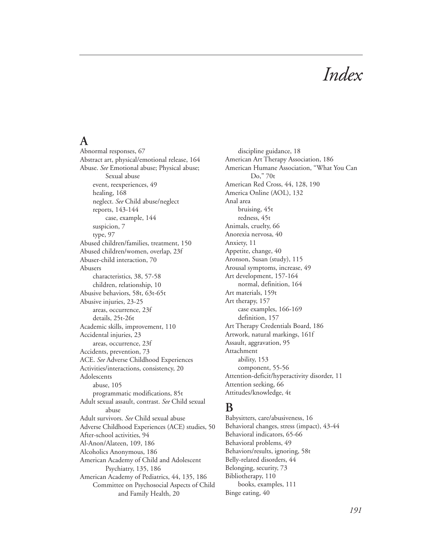# *Index*

### **A**

Abnormal responses, 67 Abstract art, physical/emotional release, 164 Abuse. *See* Emotional abuse; Physical abuse; Sexual abuse event, reexperiences, 49 healing, 168 neglect. *See* Child abuse/neglect reports, 143-144 case, example, 144 suspicion, 7 type, 97 Abused children/families, treatment, 150 Abused children/women, overlap, 23f Abuser-child interaction, 70 Abusers characteristics, 38, 57-58 children, relationship, 10 Abusive behaviors, 58t, 63t-65t Abusive injuries, 23-25 areas, occurrence, 23f details, 25t-26t Academic skills, improvement, 110 Accidental injuries, 23 areas, occurrence, 23f Accidents, prevention, 73 ACE. *See* Adverse Childhood Experiences Activities/interactions, consistency, 20 Adolescents abuse, 105 programmatic modifications, 85t Adult sexual assault, contrast. *See* Child sexual abuse Adult survivors. *See* Child sexual abuse Adverse Childhood Experiences (ACE) studies, 50 After-school activities, 94 Al-Anon/Alateen, 109, 186 Alcoholics Anonymous, 186 American Academy of Child and Adolescent Psychiatry, 135, 186 American Academy of Pediatrics, 44, 135, 186 Committee on Psychosocial Aspects of Child and Family Health, 20

discipline guidance, 18 American Art Therapy Association, 186 American Humane Association, "What You Can Do," 70t American Red Cross, 44, 128, 190 America Online (AOL), 132 Anal area bruising, 45t redness, 45t Animals, cruelty, 66 Anorexia nervosa, 40 Anxiety, 11 Appetite, change, 40 Aronson, Susan (study), 115 Arousal symptoms, increase, 49 Art development, 157-164 normal, definition, 164 Art materials, 159t Art therapy, 157 case examples, 166-169 definition, 157 Art Therapy Credentials Board, 186 Artwork, natural markings, 161f Assault, aggravation, 95 Attachment ability, 153 component, 55-56 Attention-deficit/hyperactivity disorder, 11 Attention seeking, 66 Attitudes/knowledge, 4t

## **B**

Babysitters, care/abusiveness, 16 Behavioral changes, stress (impact), 43-44 Behavioral indicators, 65-66 Behavioral problems, 49 Behaviors/results, ignoring, 58t Belly-related disorders, 44 Belonging, security, 73 Bibliotherapy, 110 books, examples, 111 Binge eating, 40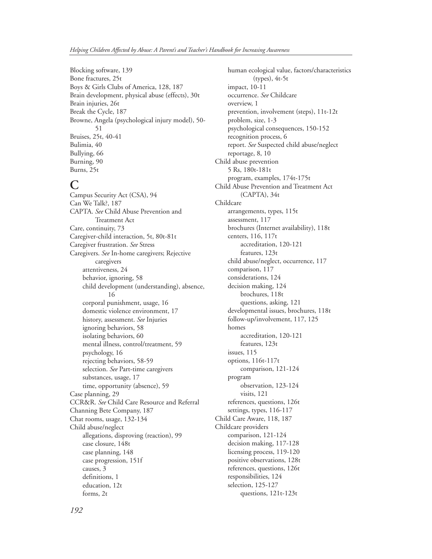Blocking software, 139 Bone fractures, 25t Boys & Girls Clubs of America, 128, 187 Brain development, physical abuse (effects), 30t Brain injuries, 26t Break the Cycle, 187 Browne, Angela (psychological injury model), 50- 51 Bruises, 25t, 40-41 Bulimia, 40 Bullying, 66 Burning, 90 Burns, 25t

#### **C**

Campus Security Act (CSA), 94 Can We Talk?, 187 CAPTA. *See* Child Abuse Prevention and Treatment Act Care, continuity, 73 Caregiver-child interaction, 5t, 80t-81t Caregiver frustration. *See* Stress Caregivers. *See* In-home caregivers; Rejective caregivers attentiveness, 24 behavior, ignoring, 58 child development (understanding), absence, 16 corporal punishment, usage, 16 domestic violence environment, 17 history, assessment. *See* Injuries ignoring behaviors, 58 isolating behaviors, 60 mental illness, control/treatment, 59 psychology, 16 rejecting behaviors, 58-59 selection. *See* Part-time caregivers substances, usage, 17 time, opportunity (absence), 59 Case planning, 29 CCR&R. *See* Child Care Resource and Referral Channing Bete Company, 187 Chat rooms, usage, 132-134 Child abuse/neglect allegations, disproving (reaction), 99 case closure, 148t case planning, 148 case progression, 151f causes, 3 definitions, 1 education, 12t forms, 2t

human ecological value, factors/characteristics (types), 4t-5t impact, 10-11 occurrence. *See* Childcare overview, 1 prevention, involvement (steps), 11t-12t problem, size, 1-3 psychological consequences, 150-152 recognition process, 6 report. *See* Suspected child abuse/neglect reportage, 8, 10 Child abuse prevention 5 Rs, 180t-181t program, examples, 174t-175t Child Abuse Prevention and Treatment Act (CAPTA), 34t Childcare arrangements, types, 115t assessment, 117 brochures (Internet availability), 118t centers, 116, 117t accreditation, 120-121 features, 123t child abuse/neglect, occurrence, 117 comparison, 117 considerations, 124 decision making, 124 brochures, 118t questions, asking, 121 developmental issues, brochures, 118t follow-up/involvement, 117, 125 homes accreditation, 120-121 features, 123t issues, 115 options, 116t-117t comparison, 121-124 program observation, 123-124 visits, 121 references, questions, 126t settings, types, 116-117 Child Care Aware, 118, 187 Childcare providers comparison, 121-124 decision making, 117-128 licensing process, 119-120 positive observations, 128t references, questions, 126t responsibilities, 124 selection, 125-127 questions, 121t-123t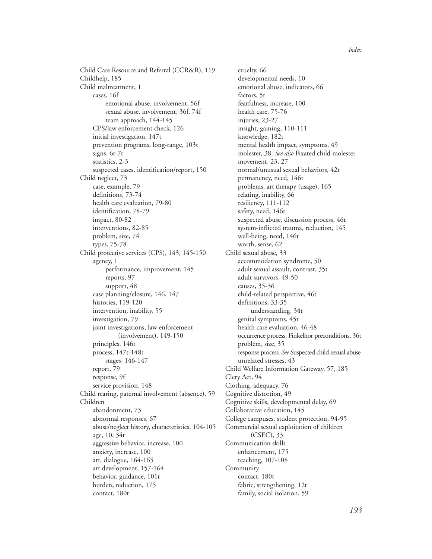Child Care Resource and Referral (CCR&R), 119 Childhelp, 185 Child maltreatment, 1 cases, 16f emotional abuse, involvement, 56f sexual abuse, involvement, 36f, 74f team approach, 144-145 CPS/law enforcement check, 126 initial investigation, 147t prevention programs, long-range, 103t signs, 6t-7t statistics, 2-3 suspected cases, identification/report, 150 Child neglect, 73 case, example, 79 definitions, 73-74 health care evaluation, 79-80 identification, 78-79 impact, 80-82 interventions, 82-85 problem, size, 74 types, 75-78 Child protective services (CPS), 143, 145-150 agency, 1 performance, improvement, 145 reports, 97 support, 48 case planning/closure, 146, 147 histories, 119-120 intervention, inability, 55 investigation, 79 joint investigations, law enforcement (involvement), 149-150 principles, 146t process, 147t-148t stages, 146-147 report, 79 response, 9f service provision, 148 Child rearing, paternal involvement (absence), 59 Children abandonment, 73 abnormal responses, 67 abuse/neglect history, characteristics, 104-105 age, 10, 34t aggressive behavior, increase, 100 anxiety, increase, 100 art, dialogue, 164-165 art development, 157-164 behavior, guidance, 101t burden, reduction, 175 contact, 180t

cruelty, 66 developmental needs, 10 emotional abuse, indicators, 66 factors, 5t fearfulness, increase, 100 health care, 75-76 injuries, 23-27 insight, gaining, 110-111 knowledge, 182t mental health impact, symptoms, 49 molester, 38. *See also* Fixated child molester movement, 23, 27 normal/unusual sexual behaviors, 42t permanency, need, 146t problems, art therapy (usage), 165 relating, inability, 66 resiliency, 111-112 safety, need, 146t suspected abuse, discussion process, 46t system-inflicted trauma, reduction, 145 well-being, need, 146t worth, sense, 62 Child sexual abuse, 33 accommodation syndrome, 50 adult sexual assault, contrast, 35t adult survivors, 49-50 causes, 35-36 child-related perspective, 46t definitions, 33-35 understanding, 34t genital symptoms, 45t health care evaluation, 46-48 occurrence process, Finkelhor preconditions, 36t problem, size, 35 response process. *See* Suspected child sexual abuse unrelated stresses, 43 Child Welfare Information Gateway, 57, 185 Clery Act, 94 Clothing, adequacy, 76 Cognitive distortion, 49 Cognitive skills, developmental delay, 69 Collaborative education, 145 College campuses, student protection, 94-95 Commercial sexual exploitation of children (CSEC), 33 Communication skills enhancement, 175 teaching, 107-108 Community contact, 180t fabric, strengthening, 12t family, social isolation, 59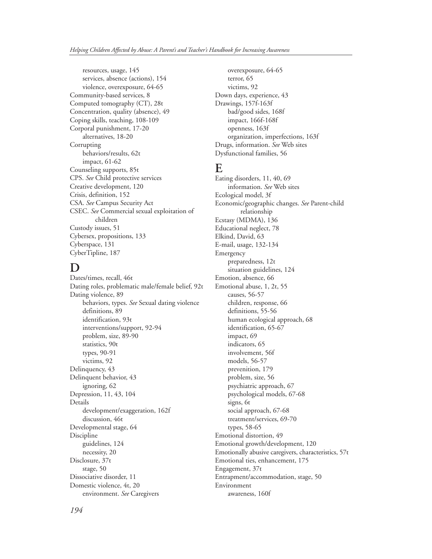resources, usage, 145 services, absence (actions), 154 violence, overexposure, 64-65 Community-based services, 8 Computed tomography (CT), 28t Concentration, quality (absence), 49 Coping skills, teaching, 108-109 Corporal punishment, 17-20 alternatives, 18-20 **Corrupting** behaviors/results, 62t impact, 61-62 Counseling supports, 85t CPS. *See* Child protective services Creative development, 120 Crisis, definition, 152 CSA. *See* Campus Security Act CSEC. *See* Commercial sexual exploitation of children Custody issues, 51 Cybersex, propositions, 133 Cyberspace, 131 CyberTipline, 187

## **D**

Dates/times, recall, 46t Dating roles, problematic male/female belief, 92t Dating violence, 89 behaviors, types. *See* Sexual dating violence definitions, 89 identification, 93t interventions/support, 92-94 problem, size, 89-90 statistics, 90t types, 90-91 victims, 92 Delinquency, 43 Delinquent behavior, 43 ignoring, 62 Depression, 11, 43, 104 Details development/exaggeration, 162f discussion, 46t Developmental stage, 64 Discipline guidelines, 124 necessity, 20 Disclosure, 37t stage, 50 Dissociative disorder, 11 Domestic violence, 4t, 20 environment. *See* Caregivers

overexposure, 64-65 terror, 65 victims, 92 Down days, experience, 43 Drawings, 157f-163f bad/good sides, 168f impact, 166f-168f openness, 163f organization, imperfections, 163f Drugs, information. *See* Web sites Dysfunctional families, 56

#### **E**

Eating disorders, 11, 40, 69 information. *See* Web sites Ecological model, 3f Economic/geographic changes. *See* Parent-child relationship Ecstasy (MDMA), 136 Educational neglect, 78 Elkind, David, 63 E-mail, usage, 132-134 Emergency preparedness, 12t situation guidelines, 124 Emotion, absence, 66 Emotional abuse, 1, 2t, 55 causes, 56-57 children, response, 66 definitions, 55-56 human ecological approach, 68 identification, 65-67 impact, 69 indicators, 65 involvement, 56f models, 56-57 prevenition, 179 problem, size, 56 psychiatric approach, 67 psychological models, 67-68 signs, 6t social approach, 67-68 treatment/services, 69-70 types, 58-65 Emotional distortion, 49 Emotional growth/development, 120 Emotionally abusive caregivers, characteristics, 57t Emotional ties, enhancement, 175 Engagement, 37t Entrapment/accommodation, stage, 50 Environment awareness, 160f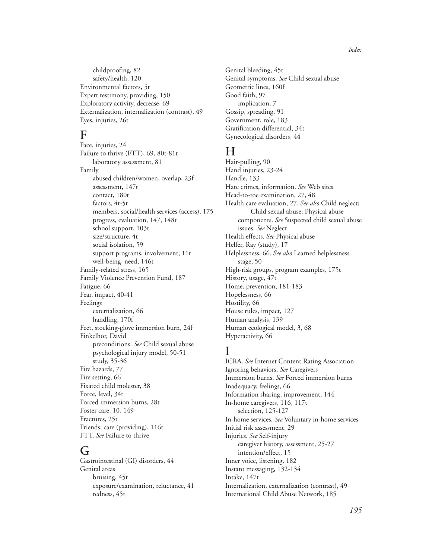childproofing, 82 safety/health, 120 Environmental factors, 5t Expert testimony, providing, 150 Exploratory activity, decrease, 69 Externalization, internalization (contrast), 49 Eyes, injuries, 26t

#### **F**

Face, injuries, 24 Failure to thrive (FTT), 69, 80t-81t laboratory assessment, 81 Family abused children/women, overlap, 23f assessment, 147t contact, 180t factors, 4t-5t members, social/health services (access), 175 progress, evaluation, 147, 148t school support, 103t size/structure, 4t social isolation, 59 support programs, involvement, 11t well-being, need, 146t Family-related stress, 165 Family Violence Prevention Fund, 187 Fatigue, 66 Fear, impact, 40-41 Feelings externalization, 66 handling, 170f Feet, stocking-glove immersion burn, 24f Finkelhor, David preconditions. *See* Child sexual abuse psychological injury model, 50-51 study, 35-36 Fire hazards, 77 Fire setting, 66 Fixated child molester, 38 Force, level, 34t Forced immersion burns, 28t Foster care, 10, 149 Fractures, 25t Friends, care (providing), 116t FTT. *See* Failure to thrive

### **G**

Gastrointestinal (GI) disorders, 44 Genital areas bruising, 45t exposure/examination, reluctance, 41 redness, 45t

Genital bleeding, 45t Genital symptoms. *See* Child sexual abuse Geometric lines, 160f Good faith, 97 implication, 7 Gossip, spreading, 91 Government, role, 183 Gratification differential, 34t Gynecological disorders, 44

## **H**

Hair-pulling, 90 Hand injuries, 23-24 Handle, 133 Hate crimes, information. *See* Web sites Head-to-toe examination, 27, 48 Health care evaluation, 27. *See also* Child neglect; Child sexual abuse; Physical abuse components. *See* Suspected child sexual abuse issues. *See* Neglect Health effects. *See* Physical abuse Helfer, Ray (study), 17 Helplessness, 66. *See also* Learned helplessness stage, 50 High-risk groups, program examples, 175t History, usage, 47t Home, prevention, 181-183 Hopelessness, 66 Hostility, 66 House rules, impact, 127 Human analysis, 139 Human ecological model, 3, 68 Hyperactivity, 66

## **I**

ICRA. *See* Internet Content Rating Association Ignoring behaviors. *See* Caregivers Immersion burns. *See* Forced immersion burns Inadequacy, feelings, 66 Information sharing, improvement, 144 In-home caregivers, 116, 117t selection, 125-127 In-home services. *See* Voluntary in-home services Initial risk assessment, 29 Injuries. *See* Self-injury caregiver history, assessment, 25-27 intention/effect, 15 Inner voice, listening, 182 Instant messaging, 132-134 Intake, 147t Internalization, externalization (contrast), 49 International Child Abuse Network, 185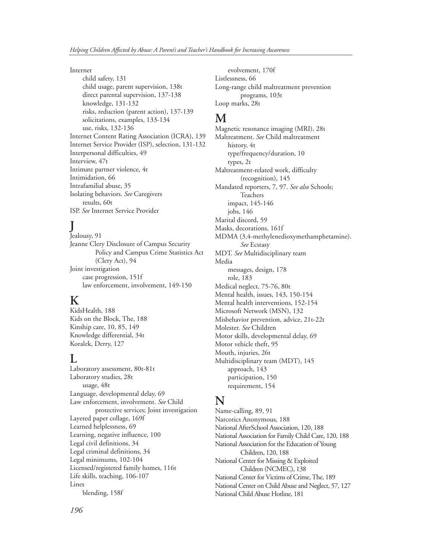#### Internet

child safety, 131 child usage, parent supervision, 138t direct parental supervision, 137-138 knowledge, 131-132 risks, reduction (parent action), 137-139 solicitations, examples, 133-134 use, risks, 132-136 Internet Content Rating Association (ICRA), 139 Internet Service Provider (ISP), selection, 131-132 Interpersonal difficulties, 49 Interview, 47t Intimate partner violence, 4t Intimidation, 66 Intrafamilial abuse, 35 Isolating behaviors. *See* Caregivers results, 60t ISP. *See* Internet Service Provider

## **J**

Jealousy, 91 Jeanne Clery Disclosure of Campus Security Policy and Campus Crime Statistics Act (Clery Act), 94 Joint investigation case progression, 151f law enforcement, involvement, 149-150

### **K**

KidsHealth, 188 Kids on the Block, The, 188 Kinship care, 10, 85, 149 Knowledge differential, 34t Koralek, Derry, 127

#### **L**

Laboratory assessment, 80t-81t Laboratory studies, 28t usage, 48t Language, developmental delay, 69 Law enforcement, involvement. *See* Child protective services; Joint investigation Layered paper collage, 169f Learned helplessness, 69 Learning, negative influence, 100 Legal civil definitions, 34 Legal criminal definitions, 34 Legal minimums, 102-104 Licensed/registered family homes, 116t Life skills, teaching, 106-107 Lines blending, 158f

evolvement, 170f Listlessness, 66 Long-range child maltreatment prevention programs, 103t Loop marks, 28t

### **M**

Magnetic resonance imaging (MRI), 28t Maltreatment. *See* Child maltreatment history, 4t type/frequency/duration, 10 types, 2t Maltreatment-related work, difficulty (recognition), 145 Mandated reporters, 7, 97. *See also* Schools; Teachers impact, 145-146 jobs, 146 Marital discord, 59 Masks, decorations, 161f MDMA (3,4-methylenedioxymethamphetamine). *See* Ecstasy MDT. *See* Multidisciplinary team Media messages, design, 178 role, 183 Medical neglect, 75-76, 80t Mental health, issues, 143, 150-154 Mental health interventions, 152-154 Microsoft Network (MSN), 132 Misbehavior prevention, advice, 21t-22t Molester. *See* Children Motor skills, developmental delay, 69 Motor vehicle theft, 95 Mouth, injuries, 26t Multidisciplinary team (MDT), 145 approach, 143 participation, 150 requirement, 154

#### **N**

Name-calling, 89, 91 Narcotics Anonymous, 188 National AfterSchool Association, 120, 188 National Association for Family Child Care, 120, 188 National Association for the Education of Young Children, 120, 188 National Center for Missing & Exploited Children (NCMEC), 138 National Center for Victims of Crime, The, 189 National Center on Child Abuse and Neglect, 57, 127 National Child Abuse Hotline, 181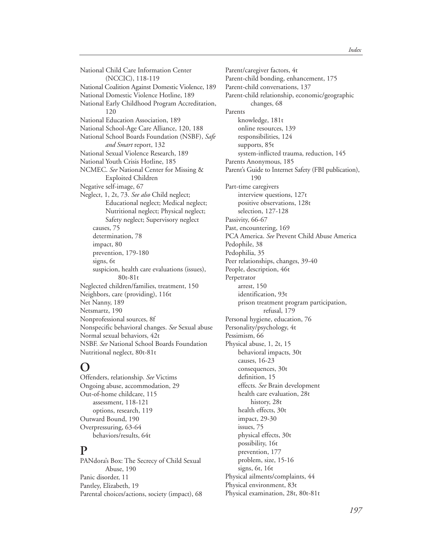National Child Care Information Center (NCCIC), 118-119 National Coalition Against Domestic Violence, 189 National Domestic Violence Hotline, 189 National Early Childhood Program Accreditation, 120 National Education Association, 189 National School-Age Care Alliance, 120, 188 National School Boards Foundation (NSBF), *Safe and Smart* report, 132 National Sexual Violence Research, 189 National Youth Crisis Hotline, 185 NCMEC. *See* National Center for Missing & Exploited Children Negative self-image, 67 Neglect, 1, 2t, 73. *See also* Child neglect; Educational neglect; Medical neglect; Nutritional neglect; Physical neglect; Safety neglect; Supervisory neglect causes, 75 determination, 78 impact, 80 prevention, 179-180 signs, 6t suspicion, health care evaluations (issues), 80t-81t Neglected children/families, treatment, 150 Neighbors, care (providing), 116t Net Nanny, 189 Netsmartz, 190 Nonprofessional sources, 8f Nonspecific behavioral changes. *See* Sexual abuse Normal sexual behaviors, 42t NSBF. *See* National School Boards Foundation Nutritional neglect, 80t-81t

### **O**

Offenders, relationship. *See* Victims Ongoing abuse, accommodation, 29 Out-of-home childcare, 115 assessment, 118-121 options, research, 119 Outward Bound, 190 Overpressuring, 63-64 behaviors/results, 64t

#### **P**

PANdora's Box: The Secrecy of Child Sexual Abuse, 190 Panic disorder, 11 Pantley, Elizabeth, 19 Parental choices/actions, society (impact), 68 Parent/caregiver factors, 4t Parent-child bonding, enhancement, 175 Parent-child conversations, 137 Parent-child relationship, economic/geographic changes, 68 Parents knowledge, 181t online resources, 139 responsibilities, 124 supports, 85t system-inflicted trauma, reduction, 145 Parents Anonymous, 185 Parent's Guide to Internet Safety (FBI publication), 190 Part-time caregivers interview questions, 127t positive observations, 128t selection, 127-128 Passivity, 66-67 Past, encountering, 169 PCA America. *See* Prevent Child Abuse America Pedophile, 38 Pedophilia, 35 Peer relationships, changes, 39-40 People, description, 46t Perpetrator arrest, 150 identification, 93t prison treatment program participation, refusal, 179 Personal hygiene, education, 76 Personality/psychology, 4t Pessimism, 66 Physical abuse, 1, 2t, 15 behavioral impacts, 30t causes, 16-23 consequences, 30t definition, 15 effects. *See* Brain development health care evaluation, 28t history, 28t health effects, 30t impact, 29-30 issues, 75 physical effects, 30t possibility, 16t prevention, 177 problem, size, 15-16 signs, 6t, 16t Physical ailments/complaints, 44 Physical environment, 83t Physical examination, 28t, 80t-81t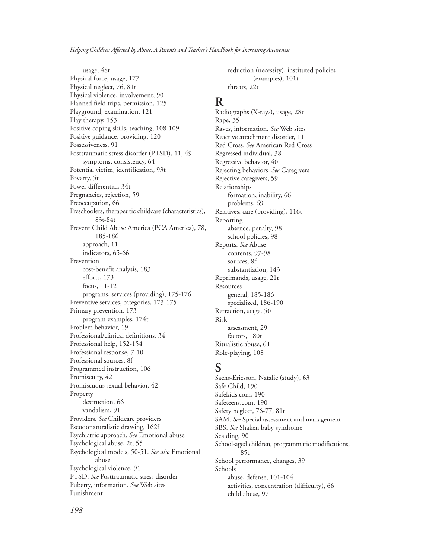usage, 48t Physical force, usage, 177 Physical neglect, 76, 81t Physical violence, involvement, 90 Planned field trips, permission, 125 Playground, examination, 121 Play therapy, 153 Positive coping skills, teaching, 108-109 Positive guidance, providing, 120 Possessiveness, 91 Posttraumatic stress disorder (PTSD), 11, 49 symptoms, consistency, 64 Potential victim, identification, 93t Poverty, 5t Power differential, 34t Pregnancies, rejection, 59 Preoccupation, 66 Preschoolers, therapeutic childcare (characteristics), 83t-84t Prevent Child Abuse America (PCA America), 78, 185-186 approach, 11 indicators, 65-66 Prevention cost-benefit analysis, 183 efforts, 173 focus, 11-12 programs, services (providing), 175-176 Preventive services, categories, 173-175 Primary prevention, 173 program examples, 174t Problem behavior, 19 Professional/clinical definitions, 34 Professional help, 152-154 Professional response, 7-10 Professional sources, 8f Programmed instruction, 106 Promiscuity, 42 Promiscuous sexual behavior, 42 Property destruction, 66 vandalism, 91 Providers. *See* Childcare providers Pseudonaturalistic drawing, 162f Psychiatric approach. *See* Emotional abuse Psychological abuse, 2t, 55 Psychological models, 50-51. *See also* Emotional abuse Psychological violence, 91 PTSD. *See* Posttraumatic stress disorder Puberty, information. *See* Web sites Punishment

reduction (necessity), instituted policies (examples), 101t threats, 22t

### **R**

Radiographs (X-rays), usage, 28t Rape, 35 Raves, information. *See* Web sites Reactive attachment disorder, 11 Red Cross. *See* American Red Cross Regressed individual, 38 Regressive behavior, 40 Rejecting behaviors. *See* Caregivers Rejective caregivers, 59 Relationships formation, inability, 66 problems, 69 Relatives, care (providing), 116t Reporting absence, penalty, 98 school policies, 98 Reports. *See* Abuse contents, 97-98 sources, 8f substantiation, 143 Reprimands, usage, 21t **Resources** general, 185-186 specialized, 186-190 Retraction, stage, 50 Risk assessment, 29 factors, 180t Ritualistic abuse, 61 Role-playing, 108

## **S**

Sachs-Ericsson, Natalie (study), 63 Safe Child, 190 Safekids.com, 190 Safeteens.com, 190 Safety neglect, 76-77, 81t SAM. *See* Special assessment and management SBS. *See* Shaken baby syndrome Scalding, 90 School-aged children, programmatic modifications, 85t School performance, changes, 39 Schools abuse, defense, 101-104 activities, concentration (difficulty), 66 child abuse, 97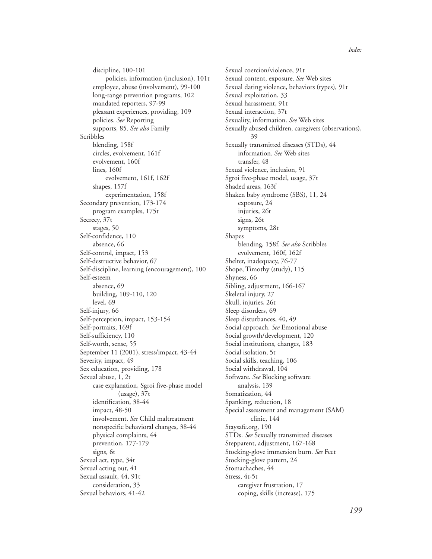discipline, 100-101 policies, information (inclusion), 101t employee, abuse (involvement), 99-100 long-range prevention programs, 102 mandated reporters, 97-99 pleasant experiences, providing, 109 policies. *See* Reporting supports, 85. *See also* Family Scribbles blending, 158f circles, evolvement, 161f evolvement, 160f lines, 160f evolvement, 161f, 162f shapes, 157f experimentation, 158f Secondary prevention, 173-174 program examples, 175t Secrecy, 37t stages, 50 Self-confidence, 110 absence, 66 Self-control, impact, 153 Self-destructive behavior, 67 Self-discipline, learning (encouragement), 100 Self-esteem absence, 69 building, 109-110, 120 level, 69 Self-injury, 66 Self-perception, impact, 153-154 Self-portraits, 169f Self-sufficiency, 110 Self-worth, sense, 55 September 11 (2001), stress/impact, 43-44 Severity, impact, 49 Sex education, providing, 178 Sexual abuse, 1, 2t case explanation, Sgroi five-phase model (usage), 37t identification, 38-44 impact, 48-50 involvement. *See* Child maltreatment nonspecific behavioral changes, 38-44 physical complaints, 44 prevention, 177-179 signs, 6t Sexual act, type, 34t Sexual acting out, 41 Sexual assault, 44, 91t consideration, 33 Sexual behaviors, 41-42

Sexual coercion/violence, 91t Sexual content, exposure. *See* Web sites Sexual dating violence, behaviors (types), 91t Sexual exploitation, 33 Sexual harassment, 91t Sexual interaction, 37t Sexuality, information. *See* Web sites Sexually abused children, caregivers (observations), 39 Sexually transmitted diseases (STDs), 44 information. *See* Web sites transfer, 48 Sexual violence, inclusion, 91 Sgroi five-phase model, usage, 37t Shaded areas, 163f Shaken baby syndrome (SBS), 11, 24 exposure, 24 injuries, 26t signs, 26t symptoms, 28t Shapes blending, 158f. *See also* Scribbles evolvement, 160f, 162f Shelter, inadequacy, 76-77 Shope, Timothy (study), 115 Shyness, 66 Sibling, adjustment, 166-167 Skeletal injury, 27 Skull, injuries, 26t Sleep disorders, 69 Sleep disturbances, 40, 49 Social approach. *See* Emotional abuse Social growth/development, 120 Social institutions, changes, 183 Social isolation, 5t Social skills, teaching, 106 Social withdrawal, 104 Software. *See* Blocking software analysis, 139 Somatization, 44 Spanking, reduction, 18 Special assessment and management (SAM) clinic, 144 Staysafe.org, 190 STDs. *See* Sexually transmitted diseases Stepparent, adjustment, 167-168 Stocking-glove immersion burn. *See* Feet Stocking-glove pattern, 24 Stomachaches, 44 Stress, 4t-5t caregiver frustration, 17 coping, skills (increase), 175